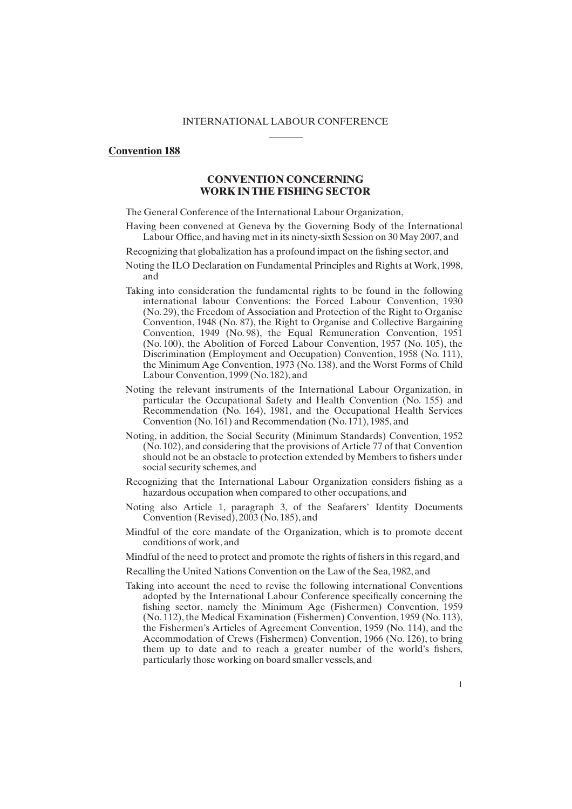# INTERNATIONAL LABOUR CONFERENCE

# **Convention 188**

# **CONVENTION CONCERNING WORK IN THE FISHING SECTOR**

The General Conference of the International Labour Organization,

- Having been convened at Geneva by the Governing Body of the International Labour Office, and having met in its ninety-sixth Session on 30 May 2007, and
- Recognizing that globalization has a profound impact on the fishing sector, and
- Noting the ILO Declaration on Fundamental Principles and Rights at Work, 1998, and
- Taking into consideration the fundamental rights to be found in the following international labour Conventions: the Forced Labour Convention, 1930 (No. 29), the Freedom of Association and Protection of the Right to Organise Convention, 1948 (No. 87), the Right to Organise and Collective Bargaining Convention, 1949 (No. 98), the Equal Remuneration Convention, 1951 (No. 100), the Abolition of Forced Labour Convention, 1957 (No. 105), the Discrimination (Employment and Occupation) Convention, 1958 (No. 111), the Minimum Age Convention, 1973 (No. 138), and the Worst Forms of Child Labour Convention, 1999 (No. 182), and
- Noting the relevant instruments of the International Labour Organization, in particular the Occupational Safety and Health Convention (No. 155) and Recommendation (No. 164), 1981, and the Occupational Health Services Convention (No. 161) and Recommendation (No. 171), 1985, and
- Noting, in addition, the Social Security (Minimum Standards) Convention, 1952 (No. 102), and considering that the provisions of Article 77 of that Convention should not be an obstacle to protection extended by Members to fishers under social security schemes, and
- Recognizing that the International Labour Organization considers fishing as a hazardous occupation when compared to other occupations, and
- Noting also Article 1, paragraph 3, of the Seafarers' Identity Documents Convention (Revised), 2003 (No. 185), and
- Mindful of the core mandate of the Organization, which is to promote decent conditions of work, and
- Mindful of the need to protect and promote the rights of fishers in this regard, and
- Recalling the United Nations Convention on the Law of the Sea, 1982, and
- Taking into account the need to revise the following international Conventions adopted by the International Labour Conference specifically concerning the fishing sector, namely the Minimum Age (Fishermen) Convention, 1959 (No. 112), the Medical Examination (Fishermen) Convention, 1959 (No. 113), the Fishermen's Articles of Agreement Convention, 1959 (No. 114), and the Accommodation of Crews (Fishermen) Convention, 1966 (No. 126), to bring them up to date and to reach a greater number of the world's fishers, particularly those working on board smaller vessels, and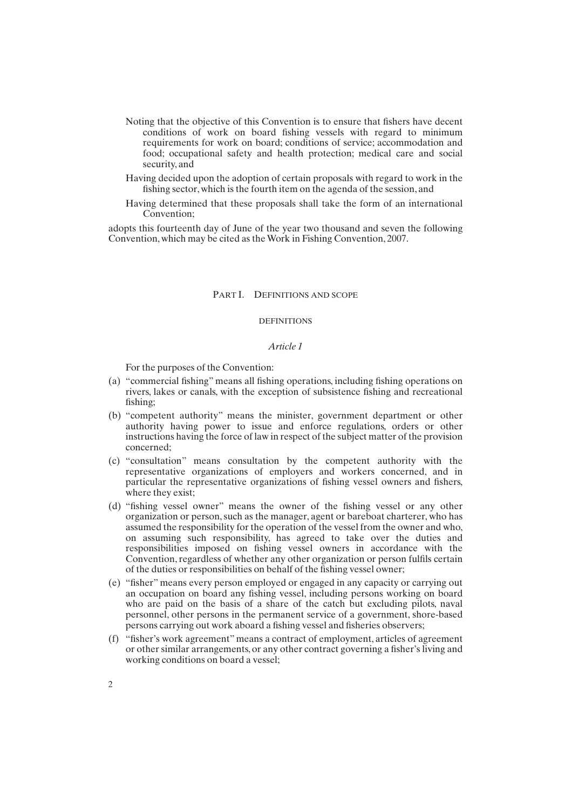- Noting that the objective of this Convention is to ensure that fishers have decent conditions of work on board fishing vessels with regard to minimum requirements for work on board; conditions of service; accommodation and food; occupational safety and health protection; medical care and social security, and
- Having decided upon the adoption of certain proposals with regard to work in the fishing sector, which is the fourth item on the agenda of the session, and
- Having determined that these proposals shall take the form of an international Convention;

adopts this fourteenth day of June of the year two thousand and seven the following Convention, which may be cited as the Work in Fishing Convention, 2007.

# PART I. DEFINITIONS AND SCOPE

# DEFINITIONS

#### *Article 1*

For the purposes of the Convention:

- (a) "commercial fishing" means all fishing operations, including fishing operations on rivers, lakes or canals, with the exception of subsistence fishing and recreational fishing;
- (b) "competent authority" means the minister, government department or other authority having power to issue and enforce regulations, orders or other instructions having the force of law in respect of the subject matter of the provision concerned;
- (c) "consultation" means consultation by the competent authority with the representative organizations of employers and workers concerned, and in particular the representative organizations of fishing vessel owners and fishers, where they exist;
- (d) "fishing vessel owner" means the owner of the fishing vessel or any other organization or person, such as the manager, agent or bareboat charterer, who has assumed the responsibility for the operation of the vessel from the owner and who, on assuming such responsibility, has agreed to take over the duties and responsibilities imposed on fishing vessel owners in accordance with the Convention, regardless of whether any other organization or person fulfils certain of the duties or responsibilities on behalf of the fishing vessel owner;
- (e) "fisher" means every person employed or engaged in any capacity or carrying out an occupation on board any fishing vessel, including persons working on board who are paid on the basis of a share of the catch but excluding pilots, naval personnel, other persons in the permanent service of a government, shore-based persons carrying out work aboard a fishing vessel and fisheries observers;
- (f) "fisher's work agreement" means a contract of employment, articles of agreement or other similar arrangements, or any other contract governing a fisher's living and working conditions on board a vessel;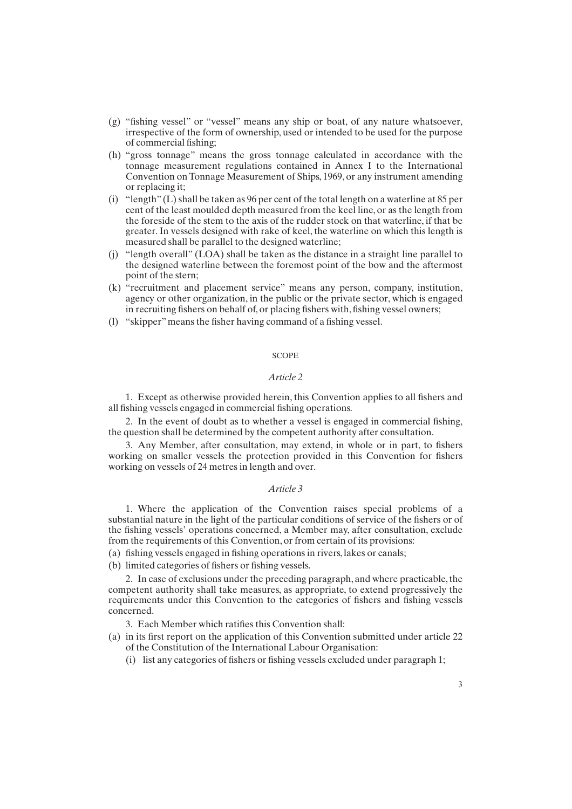- (g) "fishing vessel" or "vessel" means any ship or boat, of any nature whatsoever, irrespective of the form of ownership, used or intended to be used for the purpose of commercial fishing;
- (h) "gross tonnage" means the gross tonnage calculated in accordance with the tonnage measurement regulations contained in Annex I to the International Convention on Tonnage Measurement of Ships, 1969, or any instrument amending or replacing it;
- (i) "length" (L) shall be taken as 96 per cent of the total length on a waterline at 85 per cent of the least moulded depth measured from the keel line, or as the length from the foreside of the stem to the axis of the rudder stock on that waterline, if that be greater. In vessels designed with rake of keel, the waterline on which this length is measured shall be parallel to the designed waterline;
- (j) "length overall" (LOA) shall be taken as the distance in a straight line parallel to the designed waterline between the foremost point of the bow and the aftermost point of the stern;
- (k) "recruitment and placement service" means any person, company, institution, agency or other organization, in the public or the private sector, which is engaged in recruiting fishers on behalf of, or placing fishers with, fishing vessel owners;
- (l) "skipper" means the fisher having command of a fishing vessel.

# **SCOPE**

# *Article 2*

1. Except as otherwise provided herein, this Convention applies to all fishers and all fishing vessels engaged in commercial fishing operations.

2. In the event of doubt as to whether a vessel is engaged in commercial fishing, the question shall be determined by the competent authority after consultation.

3. Any Member, after consultation, may extend, in whole or in part, to fishers working on smaller vessels the protection provided in this Convention for fishers working on vessels of 24 metres in length and over.

### *Article 3*

1. Where the application of the Convention raises special problems of a substantial nature in the light of the particular conditions of service of the fishers or of the fishing vessels' operations concerned, a Member may, after consultation, exclude from the requirements of this Convention, or from certain of its provisions:

(a) fishing vessels engaged in fishing operations in rivers, lakes or canals;

(b) limited categories of fishers or fishing vessels.

2. In case of exclusions under the preceding paragraph, and where practicable, the competent authority shall take measures, as appropriate, to extend progressively the requirements under this Convention to the categories of fishers and fishing vessels concerned.

3. Each Member which ratifies this Convention shall:

- (a) in its first report on the application of this Convention submitted under article 22 of the Constitution of the International Labour Organisation:
	- (i) list any categories of fishers or fishing vessels excluded under paragraph 1;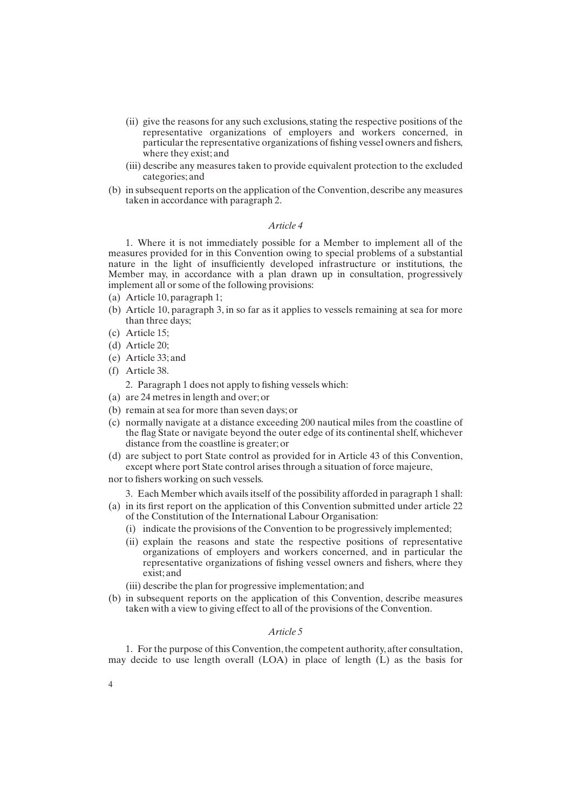- (ii) give the reasons for any such exclusions, stating the respective positions of the representative organizations of employers and workers concerned, in particular the representative organizations of fishing vessel owners and fishers, where they exist; and
- (iii) describe any measures taken to provide equivalent protection to the excluded categories; and
- (b) in subsequent reports on the application of the Convention, describe any measures taken in accordance with paragraph 2.

# *Article 4*

1. Where it is not immediately possible for a Member to implement all of the measures provided for in this Convention owing to special problems of a substantial nature in the light of insufficiently developed infrastructure or institutions, the Member may, in accordance with a plan drawn up in consultation, progressively implement all or some of the following provisions:

- (a) Article 10, paragraph 1;
- (b) Article 10, paragraph 3, in so far as it applies to vessels remaining at sea for more than three days;
- (c) Article 15;
- (d) Article 20;
- (e) Article 33; and
- (f) Article 38.
	- 2. Paragraph 1 does not apply to fishing vessels which:
- (a) are 24 metres in length and over; or
- (b) remain at sea for more than seven days; or
- (c) normally navigate at a distance exceeding 200 nautical miles from the coastline of the flag State or navigate beyond the outer edge of its continental shelf, whichever distance from the coastline is greater; or
- (d) are subject to port State control as provided for in Article 43 of this Convention, except where port State control arises through a situation of force majeure,
- nor to fishers working on such vessels.
	- 3. Each Member which avails itself of the possibility afforded in paragraph 1 shall:
- (a) in its first report on the application of this Convention submitted under article 22 of the Constitution of the International Labour Organisation:
	- (i) indicate the provisions of the Convention to be progressively implemented;
	- (ii) explain the reasons and state the respective positions of representative organizations of employers and workers concerned, and in particular the representative organizations of fishing vessel owners and fishers, where they exist; and
	- (iii) describe the plan for progressive implementation; and
- (b) in subsequent reports on the application of this Convention, describe measures taken with a view to giving effect to all of the provisions of the Convention.

# *Article 5*

1. For the purpose of this Convention, the competent authority, after consultation, may decide to use length overall (LOA) in place of length (L) as the basis for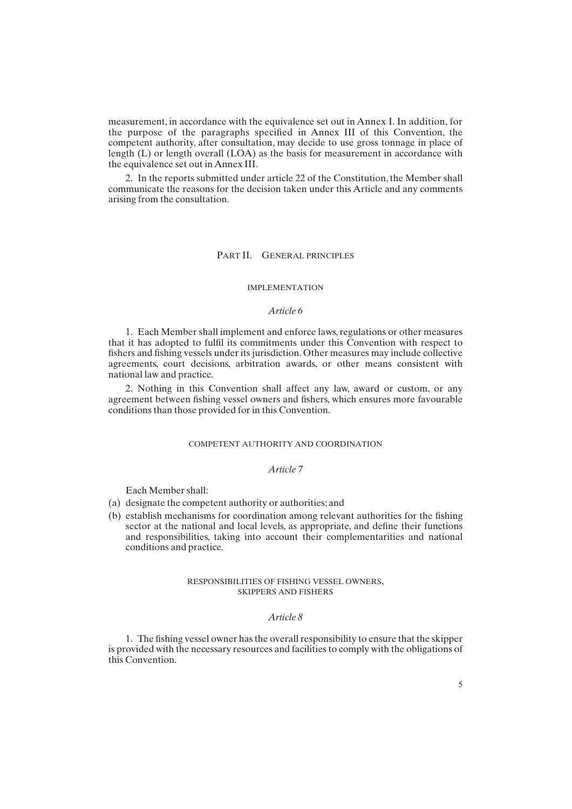measurement, in accordance with the equivalence set out in Annex I. In addition, for the purpose of the paragraphs specified in Annex III of this Convention, the competent authority, after consultation, may decide to use gross tonnage in place of length (L) or length overall (LOA) as the basis for measurement in accordance with the equivalence set out in Annex III.

2. In the reports submitted under article 22 of the Constitution, the Member shall communicate the reasons for the decision taken under this Article and any comments arising from the consultation.

### PART II. GENERAL PRINCIPLES

#### IMPLEMENTATION

### *Article 6*

1. Each Member shall implement and enforce laws, regulations or other measures that it has adopted to fulfil its commitments under this Convention with respect to fishers and fishing vessels under its jurisdiction. Other measures may include collective agreements, court decisions, arbitration awards, or other means consistent with national law and practice.

2. Nothing in this Convention shall affect any law, award or custom, or any agreement between fishing vessel owners and fishers, which ensures more favourable conditions than those provided for in this Convention.

#### COMPETENT AUTHORITY AND COORDINATION

### *Article 7*

Each Member shall:

- (a) designate the competent authority or authorities; and
- (b) establish mechanisms for coordination among relevant authorities for the fishing sector at the national and local levels, as appropriate, and define their functions and responsibilities, taking into account their complementarities and national conditions and practice.

#### RESPONSIBILITIES OF FISHING VESSEL OWNERS, SKIPPERS AND FISHERS

## *Article 8*

1. The fishing vessel owner has the overall responsibility to ensure that the skipper is provided with the necessary resources and facilities to comply with the obligations of this Convention.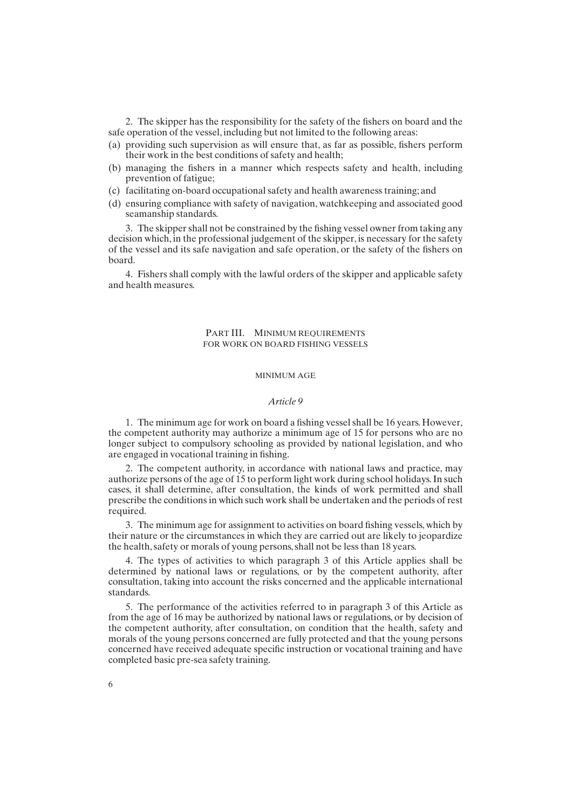2. The skipper has the responsibility for the safety of the fishers on board and the safe operation of the vessel, including but not limited to the following areas:

- (a) providing such supervision as will ensure that, as far as possible, fishers perform their work in the best conditions of safety and health;
- (b) managing the fishers in a manner which respects safety and health, including prevention of fatigue;
- (c) facilitating on-board occupational safety and health awareness training; and
- (d) ensuring compliance with safety of navigation, watchkeeping and associated good seamanship standards.

3. The skipper shall not be constrained by the fishing vessel owner from taking any decision which, in the professional judgement of the skipper, is necessary for the safety of the vessel and its safe navigation and safe operation, or the safety of the fishers on board.

4. Fishers shall comply with the lawful orders of the skipper and applicable safety and health measures.

# PART III. MINIMUM REQUIREMENTS FOR WORK ON BOARD FISHING VESSELS

### MINIMUM AGE

#### *Article 9*

1. The minimum age for work on board a fishing vessel shall be 16 years. However, the competent authority may authorize a minimum age of 15 for persons who are no longer subject to compulsory schooling as provided by national legislation, and who are engaged in vocational training in fishing.

2. The competent authority, in accordance with national laws and practice, may authorize persons of the age of 15 to perform light work during school holidays. In such cases, it shall determine, after consultation, the kinds of work permitted and shall prescribe the conditions in which such work shall be undertaken and the periods of rest required.

3. The minimum age for assignment to activities on board fishing vessels, which by their nature or the circumstances in which they are carried out are likely to jeopardize the health, safety or morals of young persons, shall not be less than 18 years.

4. The types of activities to which paragraph 3 of this Article applies shall be determined by national laws or regulations, or by the competent authority, after consultation, taking into account the risks concerned and the applicable international standards.

5. The performance of the activities referred to in paragraph 3 of this Article as from the age of 16 may be authorized by national laws or regulations, or by decision of the competent authority, after consultation, on condition that the health, safety and morals of the young persons concerned are fully protected and that the young persons concerned have received adequate specific instruction or vocational training and have completed basic pre-sea safety training.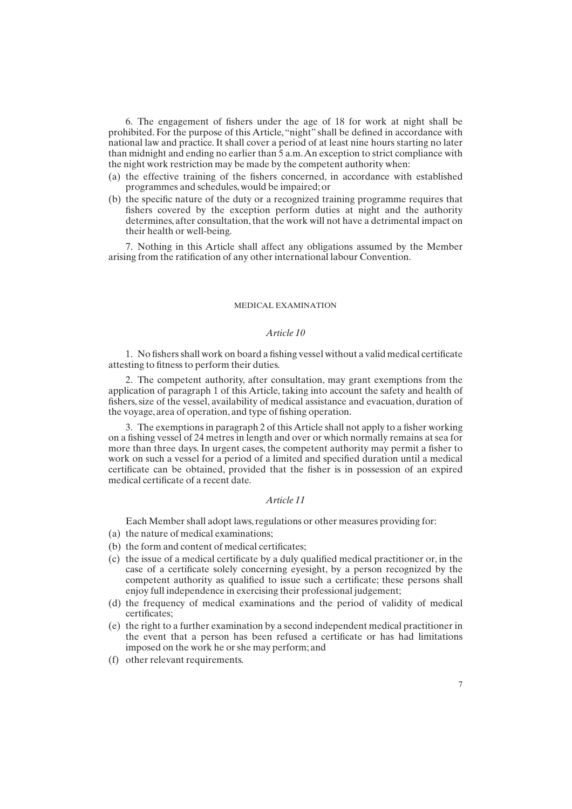6. The engagement of fishers under the age of 18 for work at night shall be prohibited. For the purpose of this Article, "night" shall be defined in accordance with national law and practice. It shall cover a period of at least nine hours starting no later than midnight and ending no earlier than 5 a.m. An exception to strict compliance with the night work restriction may be made by the competent authority when:

- (a) the effective training of the fishers concerned, in accordance with established programmes and schedules, would be impaired; or
- (b) the specific nature of the duty or a recognized training programme requires that fishers covered by the exception perform duties at night and the authority determines, after consultation, that the work will not have a detrimental impact on their health or well-being.

7. Nothing in this Article shall affect any obligations assumed by the Member arising from the ratification of any other international labour Convention.

## MEDICAL EXAMINATION

## *Article 10*

1. No fishers shall work on board a fishing vessel without a valid medical certificate attesting to fitness to perform their duties.

2. The competent authority, after consultation, may grant exemptions from the application of paragraph 1 of this Article, taking into account the safety and health of fishers, size of the vessel, availability of medical assistance and evacuation, duration of the voyage, area of operation, and type of fishing operation.

3. The exemptions in paragraph 2 of this Article shall not apply to a fisher working on a fishing vessel of 24 metres in length and over or which normally remains at sea for more than three days. In urgent cases, the competent authority may permit a fisher to work on such a vessel for a period of a limited and specified duration until a medical certificate can be obtained, provided that the fisher is in possession of an expired medical certificate of a recent date.

# *Article 11*

Each Member shall adopt laws, regulations or other measures providing for:

- (a) the nature of medical examinations;
- (b) the form and content of medical certificates;
- (c) the issue of a medical certificate by a duly qualified medical practitioner or, in the case of a certificate solely concerning eyesight, by a person recognized by the competent authority as qualified to issue such a certificate; these persons shall enjoy full independence in exercising their professional judgement;
- (d) the frequency of medical examinations and the period of validity of medical certificates;
- (e) the right to a further examination by a second independent medical practitioner in the event that a person has been refused a certificate or has had limitations imposed on the work he or she may perform; and
- (f) other relevant requirements.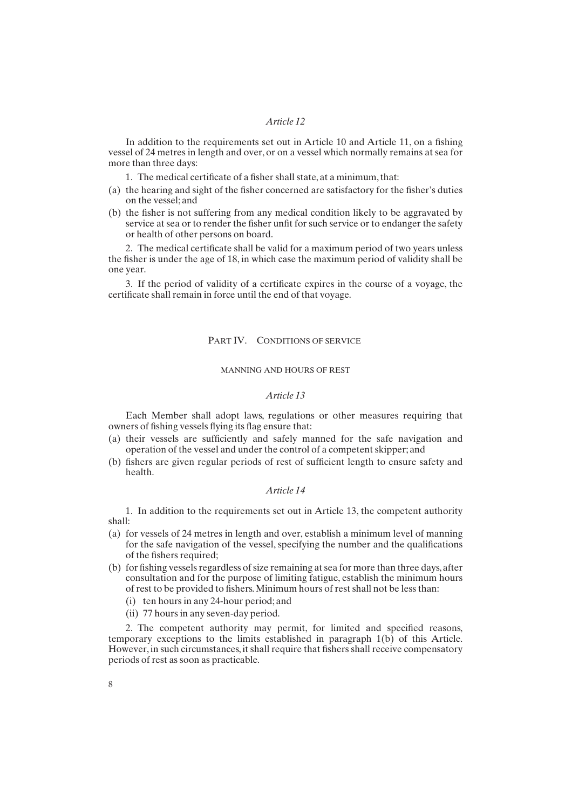# *Article 12*

In addition to the requirements set out in Article 10 and Article 11, on a fishing vessel of 24 metres in length and over, or on a vessel which normally remains at sea for more than three days:

1. The medical certificate of a fisher shall state, at a minimum, that:

- (a) the hearing and sight of the fisher concerned are satisfactory for the fisher's duties on the vessel; and
- (b) the fisher is not suffering from any medical condition likely to be aggravated by service at sea or to render the fisher unfit for such service or to endanger the safety or health of other persons on board.

2. The medical certificate shall be valid for a maximum period of two years unless the fisher is under the age of 18, in which case the maximum period of validity shall be one year.

3. If the period of validity of a certificate expires in the course of a voyage, the certificate shall remain in force until the end of that voyage.

# PART IV. CONDITIONS OF SERVICE

### MANNING AND HOURS OF REST

# *Article 13*

Each Member shall adopt laws, regulations or other measures requiring that owners of fishing vessels flying its flag ensure that:

- (a) their vessels are sufficiently and safely manned for the safe navigation and operation of the vessel and under the control of a competent skipper; and
- (b) fishers are given regular periods of rest of sufficient length to ensure safety and health.

### *Article 14*

1. In addition to the requirements set out in Article 13, the competent authority shall:

- (a) for vessels of 24 metres in length and over, establish a minimum level of manning for the safe navigation of the vessel, specifying the number and the qualifications of the fishers required;
- (b) for fishing vessels regardless of size remaining at sea for more than three days, after consultation and for the purpose of limiting fatigue, establish the minimum hours of rest to be provided to fishers. Minimum hours of rest shall not be less than:
	- (i) ten hours in any 24-hour period; and
	- (ii) 77 hours in any seven-day period.

2. The competent authority may permit, for limited and specified reasons, temporary exceptions to the limits established in paragraph  $1(b)$  of this Article. However, in such circumstances, it shall require that fishers shall receive compensatory periods of rest as soon as practicable.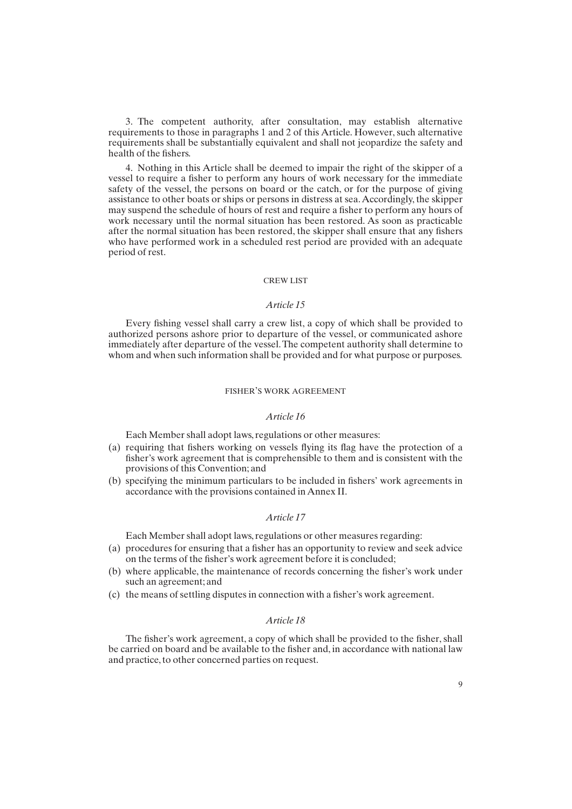3. The competent authority, after consultation, may establish alternative requirements to those in paragraphs 1 and 2 of this Article. However, such alternative requirements shall be substantially equivalent and shall not jeopardize the safety and health of the fishers.

4. Nothing in this Article shall be deemed to impair the right of the skipper of a vessel to require a fisher to perform any hours of work necessary for the immediate safety of the vessel, the persons on board or the catch, or for the purpose of giving assistance to other boats or ships or persons in distress at sea. Accordingly, the skipper may suspend the schedule of hours of rest and require a fisher to perform any hours of work necessary until the normal situation has been restored. As soon as practicable after the normal situation has been restored, the skipper shall ensure that any fishers who have performed work in a scheduled rest period are provided with an adequate period of rest.

### CREW LIST

# *Article 15*

Every fishing vessel shall carry a crew list, a copy of which shall be provided to authorized persons ashore prior to departure of the vessel, or communicated ashore immediately after departure of the vessel. The competent authority shall determine to whom and when such information shall be provided and for what purpose or purposes.

#### FISHER'S WORK AGREEMENT

# *Article 16*

Each Member shall adopt laws, regulations or other measures:

- (a) requiring that fishers working on vessels flying its flag have the protection of a fisher's work agreement that is comprehensible to them and is consistent with the provisions of this Convention; and
- (b) specifying the minimum particulars to be included in fishers' work agreements in accordance with the provisions contained in Annex II.

### *Article 17*

Each Member shall adopt laws, regulations or other measures regarding:

- (a) procedures for ensuring that a fisher has an opportunity to review and seek advice on the terms of the fisher's work agreement before it is concluded;
- (b) where applicable, the maintenance of records concerning the fisher's work under such an agreement; and
- (c) the means of settling disputes in connection with a fisher's work agreement.

#### *Article 18*

The fisher's work agreement, a copy of which shall be provided to the fisher, shall be carried on board and be available to the fisher and, in accordance with national law and practice, to other concerned parties on request.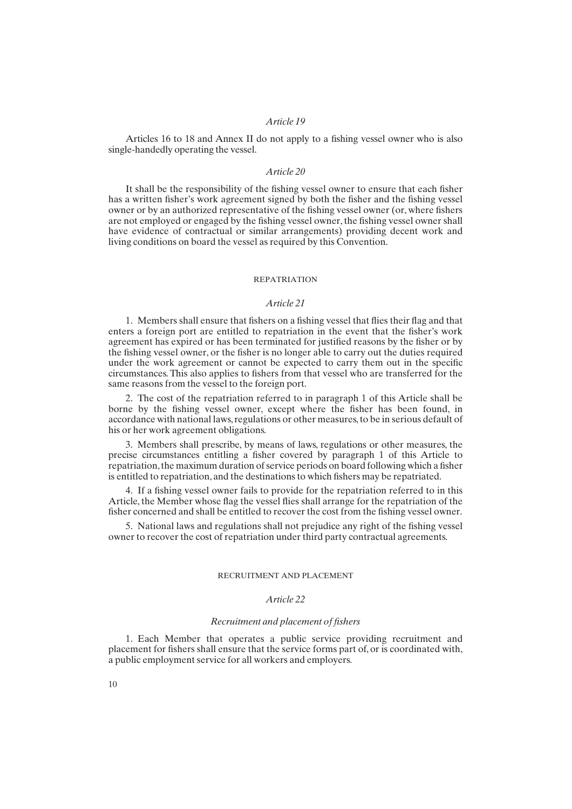## *Article 19*

Articles 16 to 18 and Annex II do not apply to a fishing vessel owner who is also single-handedly operating the vessel.

#### *Article 20*

It shall be the responsibility of the fishing vessel owner to ensure that each fisher has a written fisher's work agreement signed by both the fisher and the fishing vessel owner or by an authorized representative of the fishing vessel owner (or, where fishers are not employed or engaged by the fishing vessel owner, the fishing vessel owner shall have evidence of contractual or similar arrangements) providing decent work and living conditions on board the vessel as required by this Convention.

# REPATRIATION

# *Article 21*

1. Members shall ensure that fishers on a fishing vessel that flies their flag and that enters a foreign port are entitled to repatriation in the event that the fisher's work agreement has expired or has been terminated for justified reasons by the fisher or by the fishing vessel owner, or the fisher is no longer able to carry out the duties required under the work agreement or cannot be expected to carry them out in the specific circumstances. This also applies to fishers from that vessel who are transferred for the same reasons from the vessel to the foreign port.

2. The cost of the repatriation referred to in paragraph 1 of this Article shall be borne by the fishing vessel owner, except where the fisher has been found, in accordance with national laws, regulations or other measures, to be in serious default of his or her work agreement obligations.

3. Members shall prescribe, by means of laws, regulations or other measures, the precise circumstances entitling a fisher covered by paragraph 1 of this Article to repatriation, the maximum duration of service periods on board following which a fisher is entitled to repatriation, and the destinations to which fishers may be repatriated.

4. If a fishing vessel owner fails to provide for the repatriation referred to in this Article, the Member whose flag the vessel flies shall arrange for the repatriation of the fisher concerned and shall be entitled to recover the cost from the fishing vessel owner.

5. National laws and regulations shall not prejudice any right of the fishing vessel owner to recover the cost of repatriation under third party contractual agreements.

# RECRUITMENT AND PLACEMENT

# *Article 22*

# *Recruitment and placement of fishers*

1. Each Member that operates a public service providing recruitment and placement for fishers shall ensure that the service forms part of, or is coordinated with, a public employment service for all workers and employers.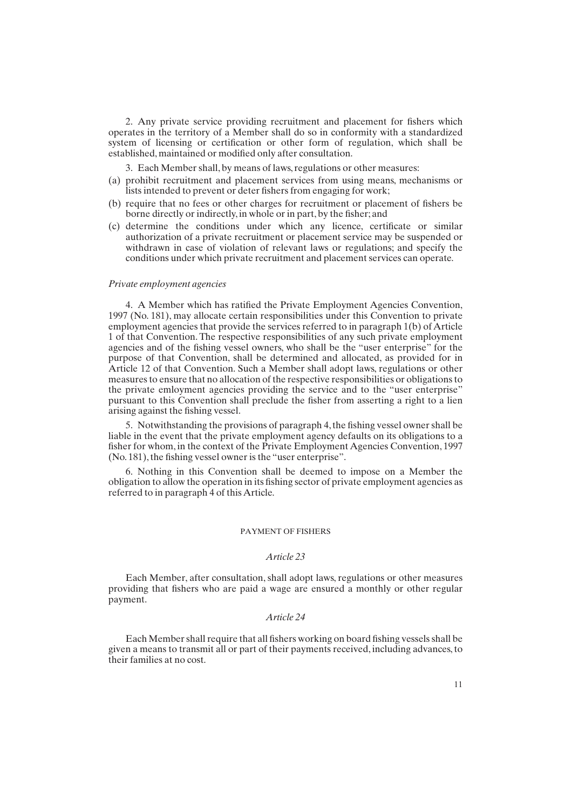2. Any private service providing recruitment and placement for fishers which operates in the territory of a Member shall do so in conformity with a standardized system of licensing or certification or other form of regulation, which shall be established, maintained or modified only after consultation.

3. Each Member shall, by means of laws, regulations or other measures:

- (a) prohibit recruitment and placement services from using means, mechanisms or lists intended to prevent or deter fishers from engaging for work;
- (b) require that no fees or other charges for recruitment or placement of fishers be borne directly or indirectly, in whole or in part, by the fisher; and
- (c) determine the conditions under which any licence, certificate or similar authorization of a private recruitment or placement service may be suspended or withdrawn in case of violation of relevant laws or regulations; and specify the conditions under which private recruitment and placement services can operate.

#### *Private employment agencies*

4. A Member which has ratified the Private Employment Agencies Convention, 1997 (No. 181), may allocate certain responsibilities under this Convention to private employment agencies that provide the services referred to in paragraph 1(b) of Article 1 of that Convention. The respective responsibilities of any such private employment agencies and of the fishing vessel owners, who shall be the "user enterprise" for the purpose of that Convention, shall be determined and allocated, as provided for in Article 12 of that Convention. Such a Member shall adopt laws, regulations or other measures to ensure that no allocation of the respective responsibilities or obligations to the private emloyment agencies providing the service and to the "user enterprise" pursuant to this Convention shall preclude the fisher from asserting a right to a lien arising against the fishing vessel.

5. Notwithstanding the provisions of paragraph 4, the fishing vessel owner shall be liable in the event that the private employment agency defaults on its obligations to a fisher for whom, in the context of the Private Employment Agencies Convention, 1997 (No. 181), the fishing vessel owner is the "user enterprise".

6. Nothing in this Convention shall be deemed to impose on a Member the obligation to allow the operation in its fishing sector of private employment agencies as referred to in paragraph 4 of this Article.

### PAYMENT OF FISHERS

#### *Article 23*

Each Member, after consultation, shall adopt laws, regulations or other measures providing that fishers who are paid a wage are ensured a monthly or other regular payment.

## *Article 24*

Each Member shall require that all fishers working on board fishing vessels shall be given a means to transmit all or part of their payments received, including advances, to their families at no cost.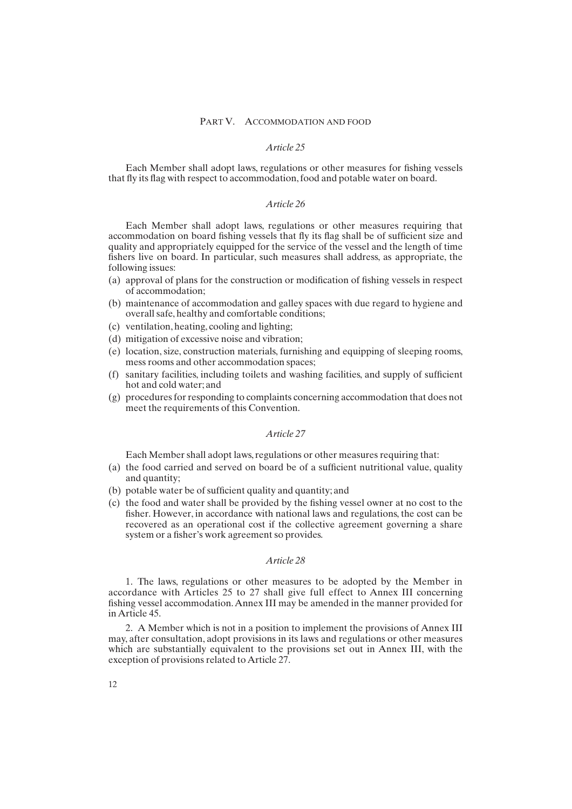# PART V. ACCOMMODATION AND FOOD

# *Article 25*

Each Member shall adopt laws, regulations or other measures for fishing vessels that fly its flag with respect to accommodation, food and potable water on board.

# *Article 26*

Each Member shall adopt laws, regulations or other measures requiring that accommodation on board fishing vessels that fly its flag shall be of sufficient size and quality and appropriately equipped for the service of the vessel and the length of time fishers live on board. In particular, such measures shall address, as appropriate, the following issues:

- (a) approval of plans for the construction or modification of fishing vessels in respect of accommodation;
- (b) maintenance of accommodation and galley spaces with due regard to hygiene and overall safe, healthy and comfortable conditions;
- (c) ventilation, heating, cooling and lighting;
- (d) mitigation of excessive noise and vibration;
- (e) location, size, construction materials, furnishing and equipping of sleeping rooms, mess rooms and other accommodation spaces;
- (f) sanitary facilities, including toilets and washing facilities, and supply of sufficient hot and cold water; and
- (g) procedures for responding to complaints concerning accommodation that does not meet the requirements of this Convention.

#### *Article 27*

Each Member shall adopt laws, regulations or other measures requiring that:

- (a) the food carried and served on board be of a sufficient nutritional value, quality and quantity;
- (b) potable water be of sufficient quality and quantity; and
- (c) the food and water shall be provided by the fishing vessel owner at no cost to the fisher. However, in accordance with national laws and regulations, the cost can be recovered as an operational cost if the collective agreement governing a share system or a fisher's work agreement so provides.

## *Article 28*

1. The laws, regulations or other measures to be adopted by the Member in accordance with Articles 25 to 27 shall give full effect to Annex III concerning fishing vessel accommodation. Annex III may be amended in the manner provided for in Article 45.

2. A Member which is not in a position to implement the provisions of Annex III may, after consultation, adopt provisions in its laws and regulations or other measures which are substantially equivalent to the provisions set out in Annex III, with the exception of provisions related to Article 27.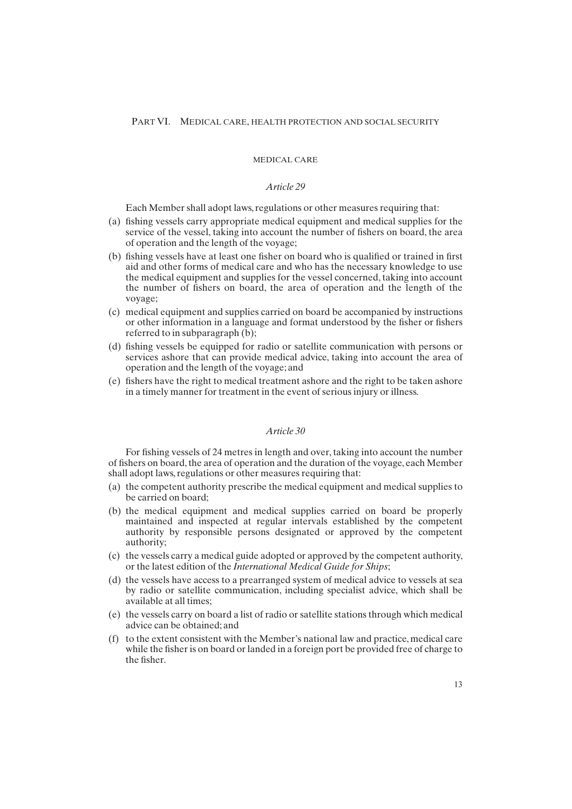# PART VI. MEDICAL CARE, HEALTH PROTECTION AND SOCIAL SECURITY

#### MEDICAL CARE

# *Article 29*

Each Member shall adopt laws, regulations or other measures requiring that:

- (a) fishing vessels carry appropriate medical equipment and medical supplies for the service of the vessel, taking into account the number of fishers on board, the area of operation and the length of the voyage;
- (b) fishing vessels have at least one fisher on board who is qualified or trained in first aid and other forms of medical care and who has the necessary knowledge to use the medical equipment and supplies for the vessel concerned, taking into account the number of fishers on board, the area of operation and the length of the voyage;
- (c) medical equipment and supplies carried on board be accompanied by instructions or other information in a language and format understood by the fisher or fishers referred to in subparagraph (b);
- (d) fishing vessels be equipped for radio or satellite communication with persons or services ashore that can provide medical advice, taking into account the area of operation and the length of the voyage; and
- (e) fishers have the right to medical treatment ashore and the right to be taken ashore in a timely manner for treatment in the event of serious injury or illness.

#### *Article 30*

For fishing vessels of 24 metres in length and over, taking into account the number of fishers on board, the area of operation and the duration of the voyage, each Member shall adopt laws, regulations or other measures requiring that:

- (a) the competent authority prescribe the medical equipment and medical supplies to be carried on board;
- (b) the medical equipment and medical supplies carried on board be properly maintained and inspected at regular intervals established by the competent authority by responsible persons designated or approved by the competent authority;
- (c) the vessels carry a medical guide adopted or approved by the competent authority, or the latest edition of the *International Medical Guide for Ships*;
- (d) the vessels have access to a prearranged system of medical advice to vessels at sea by radio or satellite communication, including specialist advice, which shall be available at all times;
- (e) the vessels carry on board a list of radio or satellite stations through which medical advice can be obtained; and
- (f) to the extent consistent with the Member's national law and practice, medical care while the fisher is on board or landed in a foreign port be provided free of charge to the fisher.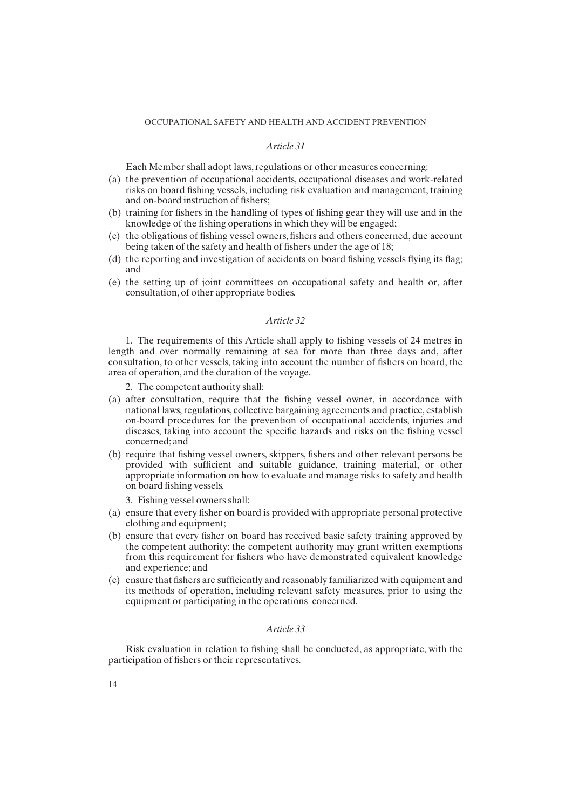# OCCUPATIONAL SAFETY AND HEALTH AND ACCIDENT PREVENTION

#### *Article 31*

Each Member shall adopt laws, regulations or other measures concerning:

- (a) the prevention of occupational accidents, occupational diseases and work-related risks on board fishing vessels, including risk evaluation and management, training and on-board instruction of fishers;
- (b) training for fishers in the handling of types of fishing gear they will use and in the knowledge of the fishing operations in which they will be engaged;
- (c) the obligations of fishing vessel owners, fishers and others concerned, due account being taken of the safety and health of fishers under the age of 18;
- (d) the reporting and investigation of accidents on board fishing vessels flying its flag; and
- (e) the setting up of joint committees on occupational safety and health or, after consultation, of other appropriate bodies.

# *Article 32*

1. The requirements of this Article shall apply to fishing vessels of 24 metres in length and over normally remaining at sea for more than three days and, after consultation, to other vessels, taking into account the number of fishers on board, the area of operation, and the duration of the voyage.

2. The competent authority shall:

- (a) after consultation, require that the fishing vessel owner, in accordance with national laws, regulations, collective bargaining agreements and practice, establish on-board procedures for the prevention of occupational accidents, injuries and diseases, taking into account the specific hazards and risks on the fishing vessel concerned; and
- (b) require that fishing vessel owners, skippers, fishers and other relevant persons be provided with sufficient and suitable guidance, training material, or other appropriate information on how to evaluate and manage risks to safety and health on board fishing vessels.
	- 3. Fishing vessel owners shall:
- (a) ensure that every fisher on board is provided with appropriate personal protective clothing and equipment;
- (b) ensure that every fisher on board has received basic safety training approved by the competent authority; the competent authority may grant written exemptions from this requirement for fishers who have demonstrated equivalent knowledge and experience; and
- (c) ensure that fishers are sufficiently and reasonably familiarized with equipment and its methods of operation, including relevant safety measures, prior to using the equipment or participating in the operations concerned.

# *Article 33*

Risk evaluation in relation to fishing shall be conducted, as appropriate, with the participation of fishers or their representatives.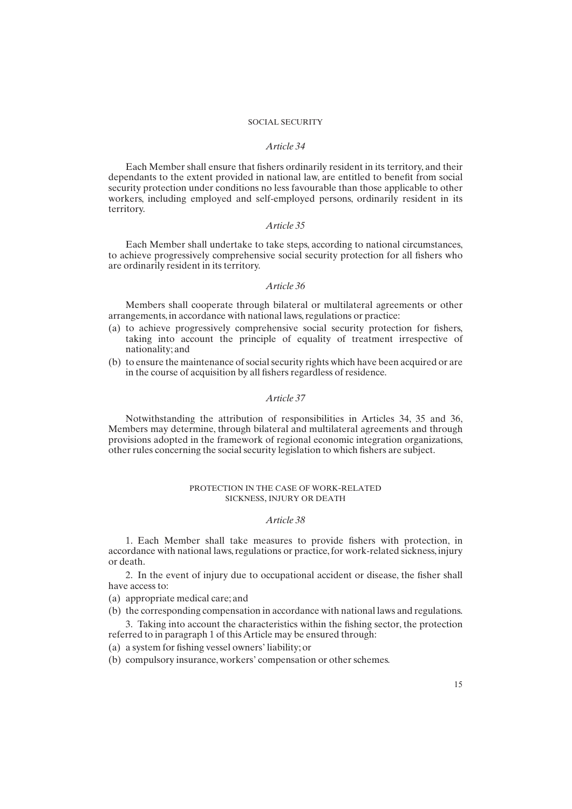# SOCIAL SECURITY

#### *Article 34*

Each Member shall ensure that fishers ordinarily resident in its territory, and their dependants to the extent provided in national law, are entitled to benefit from social security protection under conditions no less favourable than those applicable to other workers, including employed and self-employed persons, ordinarily resident in its territory.

## *Article 35*

Each Member shall undertake to take steps, according to national circumstances, to achieve progressively comprehensive social security protection for all fishers who are ordinarily resident in its territory.

#### *Article 36*

Members shall cooperate through bilateral or multilateral agreements or other arrangements, in accordance with national laws, regulations or practice:

- (a) to achieve progressively comprehensive social security protection for fishers, taking into account the principle of equality of treatment irrespective of nationality; and
- (b) to ensure the maintenance of social security rights which have been acquired or are in the course of acquisition by all fishers regardless of residence.

# *Article 37*

Notwithstanding the attribution of responsibilities in Articles 34, 35 and 36, Members may determine, through bilateral and multilateral agreements and through provisions adopted in the framework of regional economic integration organizations, other rules concerning the social security legislation to which fishers are subject.

### PROTECTION IN THE CASE OF WORK-RELATED SICKNESS, INJURY OR DEATH

## *Article 38*

1. Each Member shall take measures to provide fishers with protection, in accordance with national laws, regulations or practice, for work-related sickness, injury or death.

2. In the event of injury due to occupational accident or disease, the fisher shall have access to:

(a) appropriate medical care; and

- (b) the corresponding compensation in accordance with national laws and regulations. 3. Taking into account the characteristics within the fishing sector, the protection
- referred to in paragraph 1 of this Article may be ensured through:
- (a) a system for fishing vessel owners' liability; or

(b) compulsory insurance, workers' compensation or other schemes.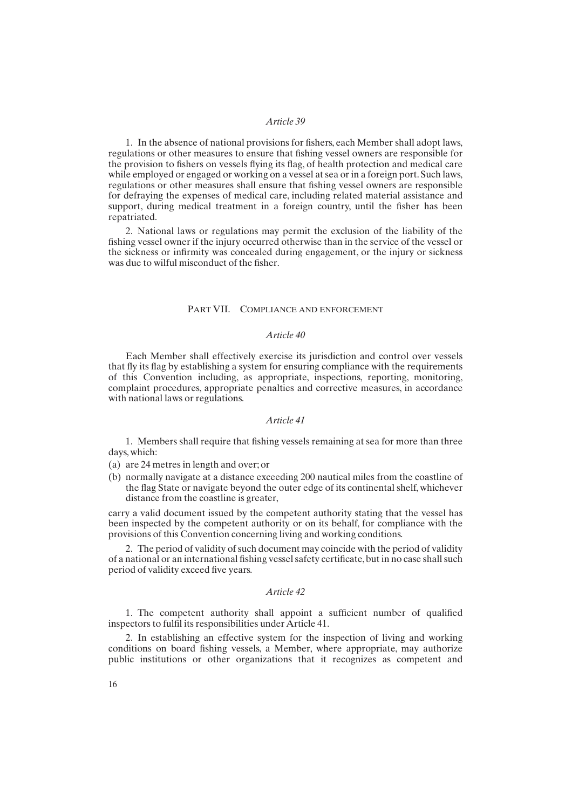### *Article 39*

1. In the absence of national provisions for fishers, each Member shall adopt laws, regulations or other measures to ensure that fishing vessel owners are responsible for the provision to fishers on vessels flying its flag, of health protection and medical care while employed or engaged or working on a vessel at sea or in a foreign port. Such laws, regulations or other measures shall ensure that fishing vessel owners are responsible for defraying the expenses of medical care, including related material assistance and support, during medical treatment in a foreign country, until the fisher has been repatriated.

2. National laws or regulations may permit the exclusion of the liability of the fishing vessel owner if the injury occurred otherwise than in the service of the vessel or the sickness or infirmity was concealed during engagement, or the injury or sickness was due to wilful misconduct of the fisher.

# PART VII. COMPLIANCE AND ENFORCEMENT

# *Article 40*

Each Member shall effectively exercise its jurisdiction and control over vessels that fly its flag by establishing a system for ensuring compliance with the requirements of this Convention including, as appropriate, inspections, reporting, monitoring, complaint procedures, appropriate penalties and corrective measures, in accordance with national laws or regulations.

#### *Article 41*

1. Members shall require that fishing vessels remaining at sea for more than three days, which:

(a) are 24 metres in length and over; or

(b) normally navigate at a distance exceeding 200 nautical miles from the coastline of the flag State or navigate beyond the outer edge of its continental shelf, whichever distance from the coastline is greater,

carry a valid document issued by the competent authority stating that the vessel has been inspected by the competent authority or on its behalf, for compliance with the provisions of this Convention concerning living and working conditions.

2. The period of validity of such document may coincide with the period of validity of a national or an international fishing vessel safety certificate, but in no case shall such period of validity exceed five years.

#### *Article 42*

1. The competent authority shall appoint a sufficient number of qualified inspectors to fulfil its responsibilities under Article 41.

2. In establishing an effective system for the inspection of living and working conditions on board fishing vessels, a Member, where appropriate, may authorize public institutions or other organizations that it recognizes as competent and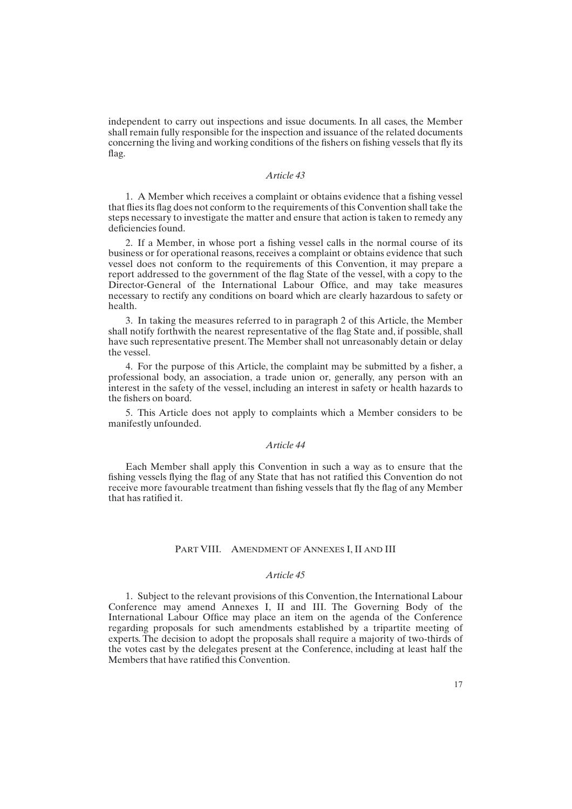independent to carry out inspections and issue documents. In all cases, the Member shall remain fully responsible for the inspection and issuance of the related documents concerning the living and working conditions of the fishers on fishing vessels that fly its flag.

# *Article 43*

1. A Member which receives a complaint or obtains evidence that a fishing vessel that flies its flag does not conform to the requirements of this Convention shall take the steps necessary to investigate the matter and ensure that action is taken to remedy any deficiencies found.

2. If a Member, in whose port a fishing vessel calls in the normal course of its business or for operational reasons, receives a complaint or obtains evidence that such vessel does not conform to the requirements of this Convention, it may prepare a report addressed to the government of the flag State of the vessel, with a copy to the Director-General of the International Labour Office, and may take measures necessary to rectify any conditions on board which are clearly hazardous to safety or health.

3. In taking the measures referred to in paragraph 2 of this Article, the Member shall notify forthwith the nearest representative of the flag State and, if possible, shall have such representative present. The Member shall not unreasonably detain or delay the vessel.

4. For the purpose of this Article, the complaint may be submitted by a fisher, a professional body, an association, a trade union or, generally, any person with an interest in the safety of the vessel, including an interest in safety or health hazards to the fishers on board.

5. This Article does not apply to complaints which a Member considers to be manifestly unfounded.

# *Article 44*

Each Member shall apply this Convention in such a way as to ensure that the fishing vessels flying the flag of any State that has not ratified this Convention do not receive more favourable treatment than fishing vessels that fly the flag of any Member that has ratified it.

### PART VIII. AMENDMENT OF ANNEXES I, II AND III

### *Article 45*

1. Subject to the relevant provisions of this Convention, the International Labour Conference may amend Annexes I, II and III. The Governing Body of the International Labour Office may place an item on the agenda of the Conference regarding proposals for such amendments established by a tripartite meeting of experts. The decision to adopt the proposals shall require a majority of two-thirds of the votes cast by the delegates present at the Conference, including at least half the Members that have ratified this Convention.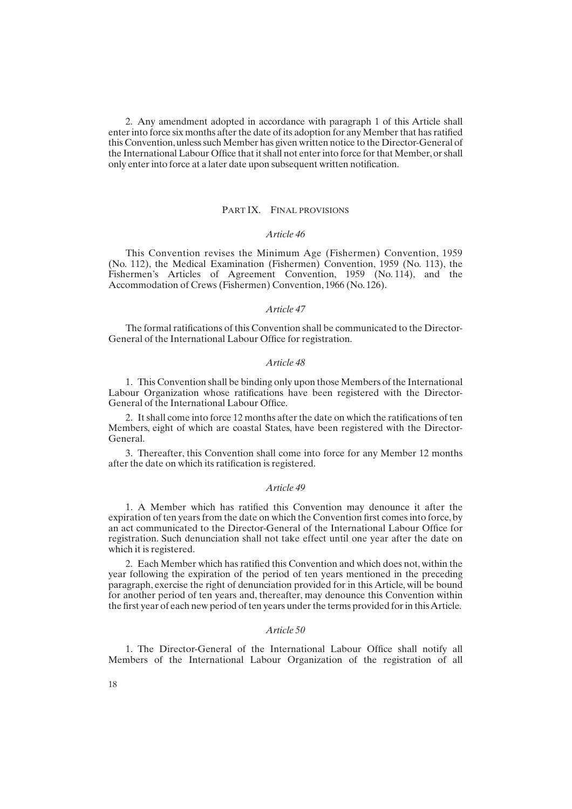2. Any amendment adopted in accordance with paragraph 1 of this Article shall enter into force six months after the date of its adoption for any Member that has ratified this Convention, unless such Member has given written notice to the Director-General of the International Labour Office that it shall not enter into force for that Member, or shall only enter into force at a later date upon subsequent written notification.

# PART IX. FINAL PROVISIONS

#### *Article 46*

This Convention revises the Minimum Age (Fishermen) Convention, 1959 (No. 112), the Medical Examination (Fishermen) Convention, 1959 (No. 113), the Fishermen's Articles of Agreement Convention, 1959 (No. 114), and the Accommodation of Crews (Fishermen) Convention, 1966 (No. 126).

## *Article 47*

The formal ratifications of this Convention shall be communicated to the Director-General of the International Labour Office for registration.

# *Article 48*

1. This Convention shall be binding only upon those Members of the International Labour Organization whose ratifications have been registered with the Director-General of the International Labour Office.

2. It shall come into force 12 months after the date on which the ratifications of ten Members, eight of which are coastal States, have been registered with the Director-General.

3. Thereafter, this Convention shall come into force for any Member 12 months after the date on which its ratification is registered.

#### *Article 49*

1. A Member which has ratified this Convention may denounce it after the expiration of ten years from the date on which the Convention first comes into force, by an act communicated to the Director-General of the International Labour Office for registration. Such denunciation shall not take effect until one year after the date on which it is registered.

2. Each Member which has ratified this Convention and which does not, within the year following the expiration of the period of ten years mentioned in the preceding paragraph, exercise the right of denunciation provided for in this Article, will be bound for another period of ten years and, thereafter, may denounce this Convention within the first year of each new period of ten years under the terms provided for in this Article.

#### *Article 50*

1. The Director-General of the International Labour Office shall notify all Members of the International Labour Organization of the registration of all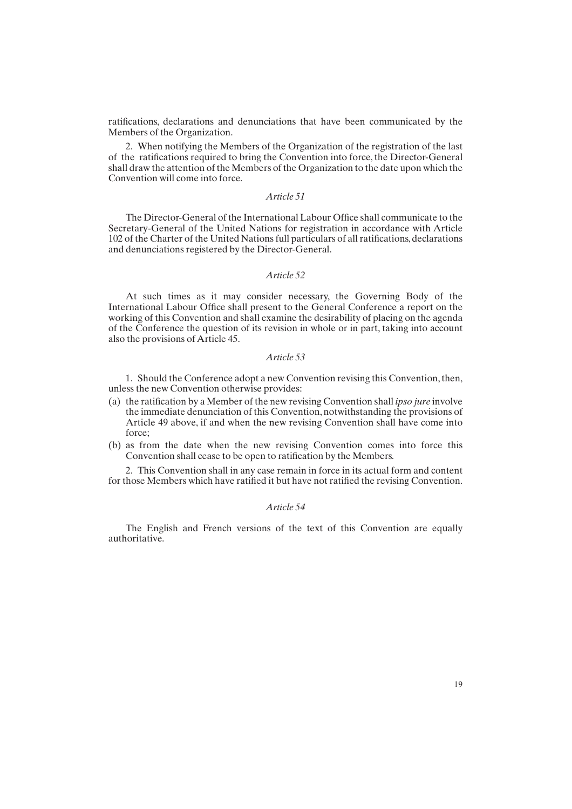ratifications, declarations and denunciations that have been communicated by the Members of the Organization.

2. When notifying the Members of the Organization of the registration of the last of the ratifications required to bring the Convention into force, the Director-General shall draw the attention of the Members of the Organization to the date upon which the Convention will come into force.

### *Article 51*

The Director-General of the International Labour Office shall communicate to the Secretary-General of the United Nations for registration in accordance with Article 102 of the Charter of the United Nations full particulars of all ratifications, declarations and denunciations registered by the Director-General.

# *Article 52*

At such times as it may consider necessary, the Governing Body of the International Labour Office shall present to the General Conference a report on the working of this Convention and shall examine the desirability of placing on the agenda of the Conference the question of its revision in whole or in part, taking into account also the provisions of Article 45.

# *Article 53*

1. Should the Conference adopt a new Convention revising this Convention, then, unless the new Convention otherwise provides:

- (a) the ratification by a Member of the new revising Convention shall *ipso jure* involve the immediate denunciation of this Convention, notwithstanding the provisions of Article 49 above, if and when the new revising Convention shall have come into force;
- (b) as from the date when the new revising Convention comes into force this Convention shall cease to be open to ratification by the Members.

2. This Convention shall in any case remain in force in its actual form and content for those Members which have ratified it but have not ratified the revising Convention.

#### *Article 54*

The English and French versions of the text of this Convention are equally authoritative.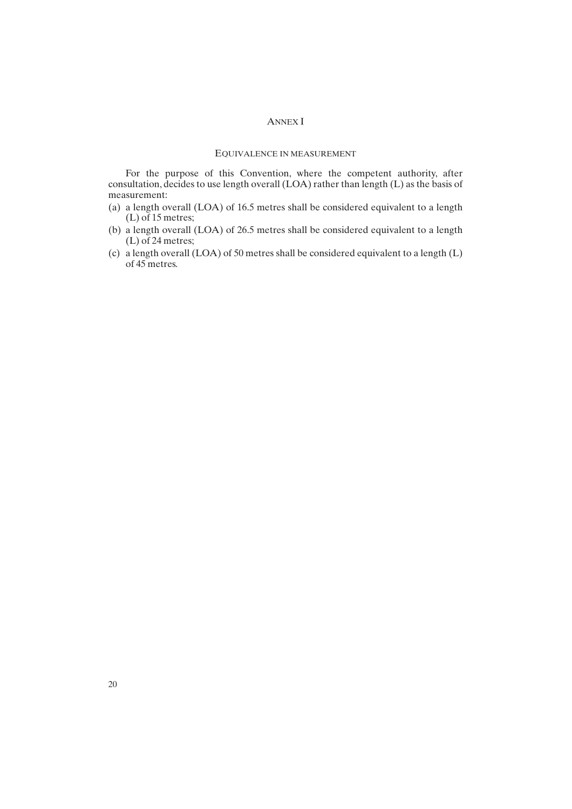# ANNEX I

# EQUIVALENCE IN MEASUREMENT

For the purpose of this Convention, where the competent authority, after consultation, decides to use length overall (LOA) rather than length (L) as the basis of measurement:

- (a) a length overall (LOA) of 16.5 metres shall be considered equivalent to a length (L) of 15 metres;
- (b) a length overall (LOA) of 26.5 metres shall be considered equivalent to a length (L) of 24 metres;
- (c) a length overall (LOA) of 50 metres shall be considered equivalent to a length (L) of 45 metres.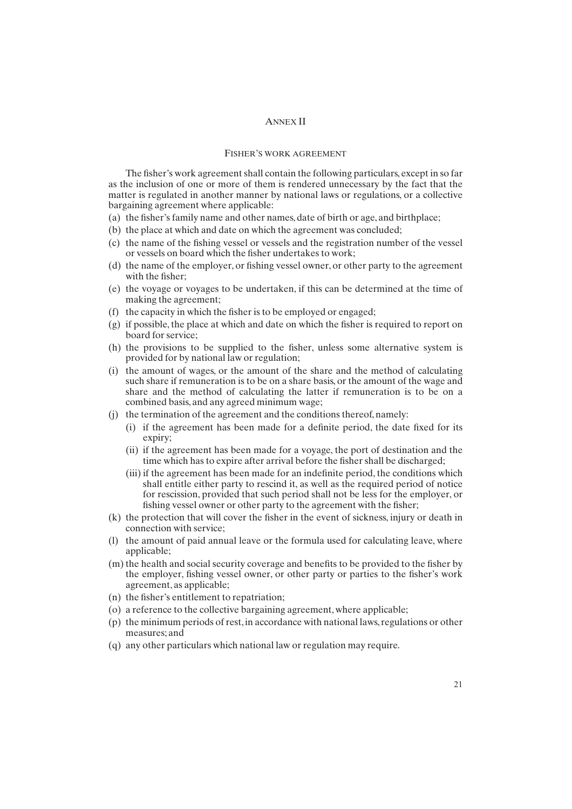# ANNEX II

#### FISHER'S WORK AGREEMENT

The fisher's work agreement shall contain the following particulars, except in so far as the inclusion of one or more of them is rendered unnecessary by the fact that the matter is regulated in another manner by national laws or regulations, or a collective bargaining agreement where applicable:

- (a) the fisher's family name and other names, date of birth or age, and birthplace;
- (b) the place at which and date on which the agreement was concluded;
- (c) the name of the fishing vessel or vessels and the registration number of the vessel or vessels on board which the fisher undertakes to work;
- (d) the name of the employer, or fishing vessel owner, or other party to the agreement with the fisher;
- (e) the voyage or voyages to be undertaken, if this can be determined at the time of making the agreement;
- (f) the capacity in which the fisher is to be employed or engaged;
- (g) if possible, the place at which and date on which the fisher is required to report on board for service;
- (h) the provisions to be supplied to the fisher, unless some alternative system is provided for by national law or regulation;
- (i) the amount of wages, or the amount of the share and the method of calculating such share if remuneration is to be on a share basis, or the amount of the wage and share and the method of calculating the latter if remuneration is to be on a combined basis, and any agreed minimum wage;
- (j) the termination of the agreement and the conditions thereof, namely:
	- (i) if the agreement has been made for a definite period, the date fixed for its expiry;
	- (ii) if the agreement has been made for a voyage, the port of destination and the time which has to expire after arrival before the fisher shall be discharged;
	- (iii) if the agreement has been made for an indefinite period, the conditions which shall entitle either party to rescind it, as well as the required period of notice for rescission, provided that such period shall not be less for the employer, or fishing vessel owner or other party to the agreement with the fisher;
- (k) the protection that will cover the fisher in the event of sickness, injury or death in connection with service;
- (l) the amount of paid annual leave or the formula used for calculating leave, where applicable;
- (m) the health and social security coverage and benefits to be provided to the fisher by the employer, fishing vessel owner, or other party or parties to the fisher's work agreement, as applicable;
- (n) the fisher's entitlement to repatriation;
- (o) a reference to the collective bargaining agreement, where applicable;
- (p) the minimum periods of rest, in accordance with national laws, regulations or other measures; and
- (q) any other particulars which national law or regulation may require.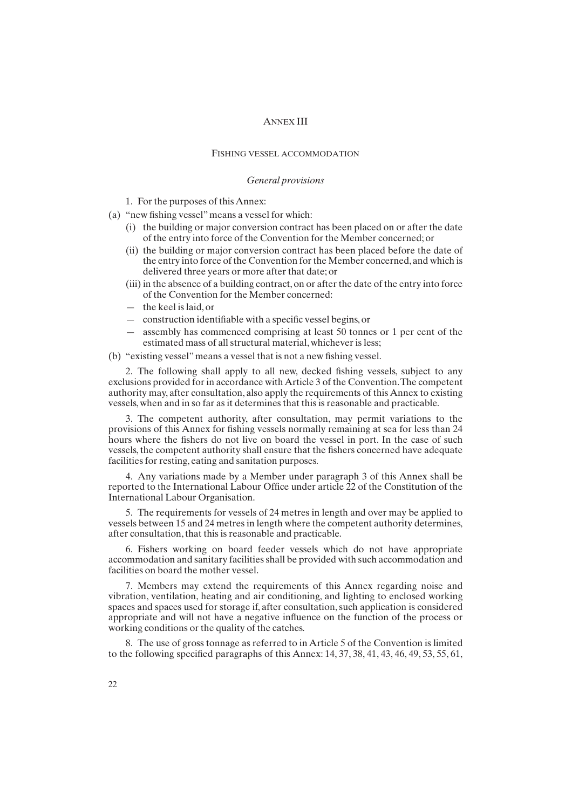# ANNEX III

# FISHING VESSEL ACCOMMODATION

#### *General provisions*

1. For the purposes of this Annex:

(a) "new fishing vessel" means a vessel for which:

- (i) the building or major conversion contract has been placed on or after the date of the entry into force of the Convention for the Member concerned; or
- (ii) the building or major conversion contract has been placed before the date of the entry into force of the Convention for the Member concerned, and which is delivered three years or more after that date; or
- (iii) in the absence of a building contract, on or after the date of the entry into force of the Convention for the Member concerned:
- the keel is laid, or
- construction identifiable with a specific vessel begins, or
- assembly has commenced comprising at least 50 tonnes or 1 per cent of the estimated mass of all structural material, whichever is less;
- (b) "existing vessel" means a vessel that is not a new fishing vessel.

2. The following shall apply to all new, decked fishing vessels, subject to any exclusions provided for in accordance with Article 3 of the Convention. The competent authority may, after consultation, also apply the requirements of this Annex to existing vessels, when and in so far as it determines that this is reasonable and practicable.

3. The competent authority, after consultation, may permit variations to the provisions of this Annex for fishing vessels normally remaining at sea for less than 24 hours where the fishers do not live on board the vessel in port. In the case of such vessels, the competent authority shall ensure that the fishers concerned have adequate facilities for resting, eating and sanitation purposes.

4. Any variations made by a Member under paragraph 3 of this Annex shall be reported to the International Labour Office under article 22 of the Constitution of the International Labour Organisation.

5. The requirements for vessels of 24 metres in length and over may be applied to vessels between 15 and 24 metres in length where the competent authority determines, after consultation, that this is reasonable and practicable.

6. Fishers working on board feeder vessels which do not have appropriate accommodation and sanitary facilities shall be provided with such accommodation and facilities on board the mother vessel.

7. Members may extend the requirements of this Annex regarding noise and vibration, ventilation, heating and air conditioning, and lighting to enclosed working spaces and spaces used for storage if, after consultation, such application is considered appropriate and will not have a negative influence on the function of the process or working conditions or the quality of the catches.

8. The use of gross tonnage as referred to in Article 5 of the Convention is limited to the following specified paragraphs of this Annex: 14, 37, 38, 41, 43, 46, 49, 53, 55, 61,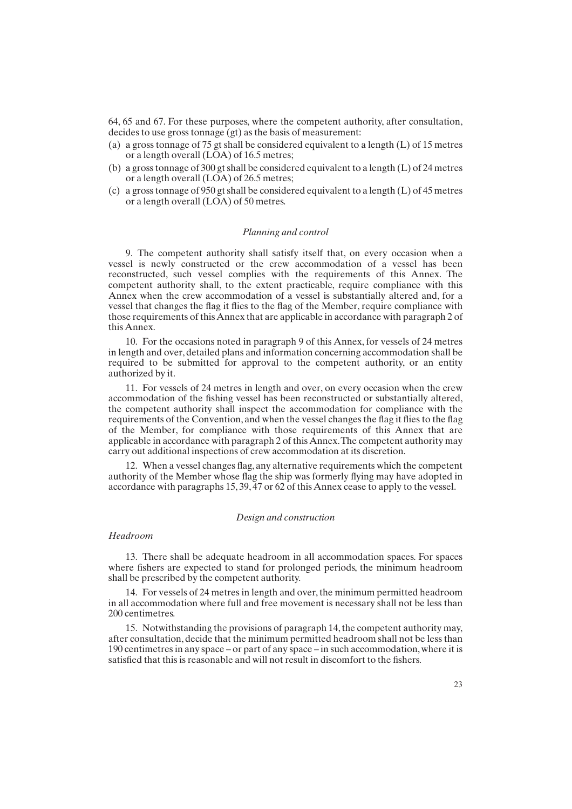64, 65 and 67. For these purposes, where the competent authority, after consultation, decides to use gross tonnage  $(gt)$  as the basis of measurement:

- (a) a gross tonnage of 75 gt shall be considered equivalent to a length  $(L)$  of 15 metres or a length overall (LOA) of 16.5 metres;
- (b) a gross tonnage of 300 gt shall be considered equivalent to a length  $(L)$  of 24 metres or a length overall (LOA) of 26.5 metres;
- (c) a gross tonnage of 950 gt shall be considered equivalent to a length (L) of 45 metres or a length overall (LOA) of 50 metres.

## *Planning and control*

9. The competent authority shall satisfy itself that, on every occasion when a vessel is newly constructed or the crew accommodation of a vessel has been reconstructed, such vessel complies with the requirements of this Annex. The competent authority shall, to the extent practicable, require compliance with this Annex when the crew accommodation of a vessel is substantially altered and, for a vessel that changes the flag it flies to the flag of the Member, require compliance with those requirements of this Annex that are applicable in accordance with paragraph 2 of this Annex.

10. For the occasions noted in paragraph 9 of this Annex, for vessels of 24 metres in length and over, detailed plans and information concerning accommodation shall be required to be submitted for approval to the competent authority, or an entity authorized by it.

11. For vessels of 24 metres in length and over, on every occasion when the crew accommodation of the fishing vessel has been reconstructed or substantially altered, the competent authority shall inspect the accommodation for compliance with the requirements of the Convention, and when the vessel changes the flag it flies to the flag of the Member, for compliance with those requirements of this Annex that are applicable in accordance with paragraph 2 of this Annex. The competent authority may carry out additional inspections of crew accommodation at its discretion.

12. When a vessel changes flag, any alternative requirements which the competent authority of the Member whose flag the ship was formerly flying may have adopted in accordance with paragraphs 15, 39, 47 or 62 of this Annex cease to apply to the vessel.

#### *Design and construction*

### *Headroom*

13. There shall be adequate headroom in all accommodation spaces. For spaces where fishers are expected to stand for prolonged periods, the minimum headroom shall be prescribed by the competent authority.

14. For vessels of 24 metres in length and over, the minimum permitted headroom in all accommodation where full and free movement is necessary shall not be less than 200 centimetres.

15. Notwithstanding the provisions of paragraph 14, the competent authority may, after consultation, decide that the minimum permitted headroom shall not be less than 190 centimetres in any space – or part of any space – in such accommodation, where it is satisfied that this is reasonable and will not result in discomfort to the fishers.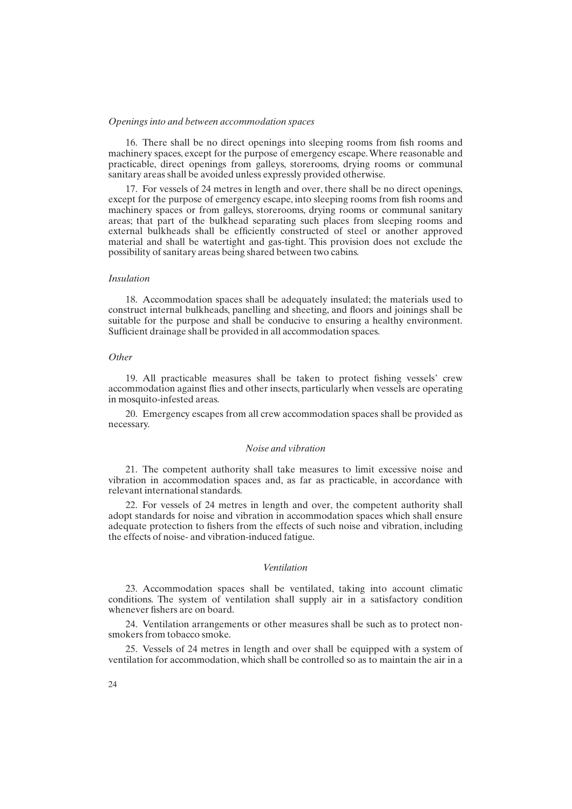#### *Openings into and between accommodation spaces*

16. There shall be no direct openings into sleeping rooms from fish rooms and machinery spaces, except for the purpose of emergency escape. Where reasonable and practicable, direct openings from galleys, storerooms, drying rooms or communal sanitary areas shall be avoided unless expressly provided otherwise.

17. For vessels of 24 metres in length and over, there shall be no direct openings, except for the purpose of emergency escape, into sleeping rooms from fish rooms and machinery spaces or from galleys, storerooms, drying rooms or communal sanitary areas; that part of the bulkhead separating such places from sleeping rooms and external bulkheads shall be efficiently constructed of steel or another approved material and shall be watertight and gas-tight. This provision does not exclude the possibility of sanitary areas being shared between two cabins.

### *Insulation*

18. Accommodation spaces shall be adequately insulated; the materials used to construct internal bulkheads, panelling and sheeting, and floors and joinings shall be suitable for the purpose and shall be conducive to ensuring a healthy environment. Sufficient drainage shall be provided in all accommodation spaces.

## *Other*

19. All practicable measures shall be taken to protect fishing vessels' crew accommodation against flies and other insects, particularly when vessels are operating in mosquito-infested areas.

20. Emergency escapes from all crew accommodation spaces shall be provided as necessary.

# *Noise and vibration*

21. The competent authority shall take measures to limit excessive noise and vibration in accommodation spaces and, as far as practicable, in accordance with relevant international standards.

22. For vessels of 24 metres in length and over, the competent authority shall adopt standards for noise and vibration in accommodation spaces which shall ensure adequate protection to fishers from the effects of such noise and vibration, including the effects of noise- and vibration-induced fatigue.

### *Ventilation*

23. Accommodation spaces shall be ventilated, taking into account climatic conditions. The system of ventilation shall supply air in a satisfactory condition whenever fishers are on board.

24. Ventilation arrangements or other measures shall be such as to protect nonsmokers from tobacco smoke.

25. Vessels of 24 metres in length and over shall be equipped with a system of ventilation for accommodation, which shall be controlled so as to maintain the air in a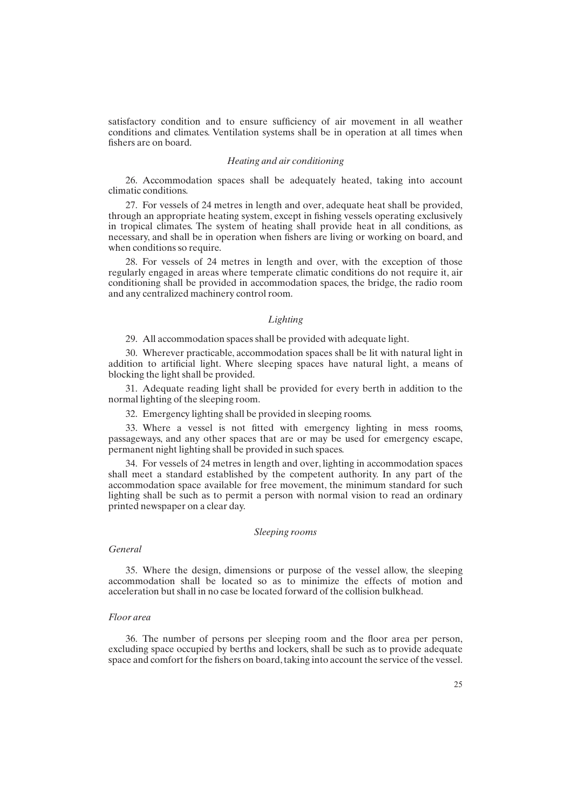satisfactory condition and to ensure sufficiency of air movement in all weather conditions and climates. Ventilation systems shall be in operation at all times when fishers are on board.

### *Heating and air conditioning*

26. Accommodation spaces shall be adequately heated, taking into account climatic conditions.

27. For vessels of 24 metres in length and over, adequate heat shall be provided, through an appropriate heating system, except in fishing vessels operating exclusively in tropical climates. The system of heating shall provide heat in all conditions, as necessary, and shall be in operation when fishers are living or working on board, and when conditions so require.

28. For vessels of 24 metres in length and over, with the exception of those regularly engaged in areas where temperate climatic conditions do not require it, air conditioning shall be provided in accommodation spaces, the bridge, the radio room and any centralized machinery control room.

# *Lighting*

29. All accommodation spaces shall be provided with adequate light.

30. Wherever practicable, accommodation spaces shall be lit with natural light in addition to artificial light. Where sleeping spaces have natural light, a means of blocking the light shall be provided.

31. Adequate reading light shall be provided for every berth in addition to the normal lighting of the sleeping room.

32. Emergency lighting shall be provided in sleeping rooms.

33. Where a vessel is not fitted with emergency lighting in mess rooms, passageways, and any other spaces that are or may be used for emergency escape, permanent night lighting shall be provided in such spaces.

34. For vessels of 24 metres in length and over, lighting in accommodation spaces shall meet a standard established by the competent authority. In any part of the accommodation space available for free movement, the minimum standard for such lighting shall be such as to permit a person with normal vision to read an ordinary printed newspaper on a clear day.

# *Sleeping rooms*

## *General*

35. Where the design, dimensions or purpose of the vessel allow, the sleeping accommodation shall be located so as to minimize the effects of motion and acceleration but shall in no case be located forward of the collision bulkhead.

# *Floor area*

36. The number of persons per sleeping room and the floor area per person, excluding space occupied by berths and lockers, shall be such as to provide adequate space and comfort for the fishers on board, taking into account the service of the vessel.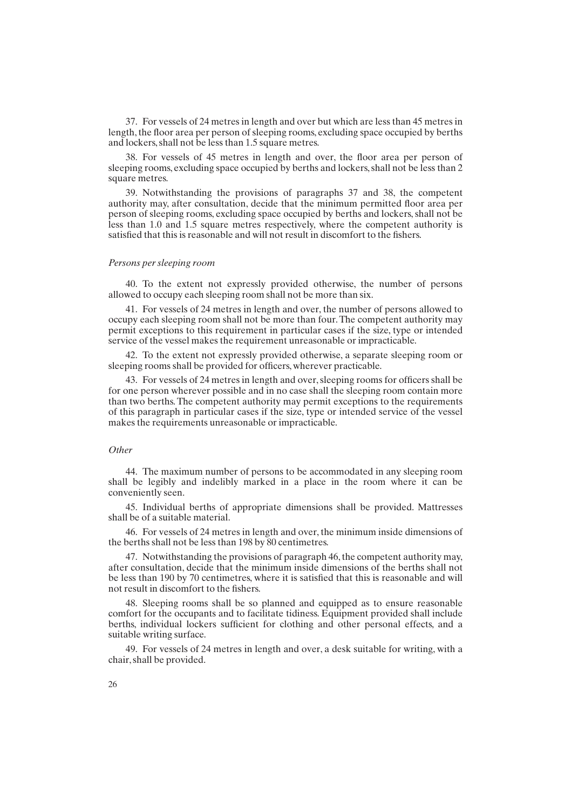37. For vessels of 24 metres in length and over but which are less than 45 metres in length, the floor area per person of sleeping rooms, excluding space occupied by berths and lockers, shall not be less than 1.5 square metres.

38. For vessels of 45 metres in length and over, the floor area per person of sleeping rooms, excluding space occupied by berths and lockers, shall not be less than 2 square metres.

39. Notwithstanding the provisions of paragraphs 37 and 38, the competent authority may, after consultation, decide that the minimum permitted floor area per person of sleeping rooms, excluding space occupied by berths and lockers, shall not be less than 1.0 and 1.5 square metres respectively, where the competent authority is satisfied that this is reasonable and will not result in discomfort to the fishers.

#### *Persons per sleeping room*

40. To the extent not expressly provided otherwise, the number of persons allowed to occupy each sleeping room shall not be more than six.

41. For vessels of 24 metres in length and over, the number of persons allowed to occupy each sleeping room shall not be more than four. The competent authority may permit exceptions to this requirement in particular cases if the size, type or intended service of the vessel makes the requirement unreasonable or impracticable.

42. To the extent not expressly provided otherwise, a separate sleeping room or sleeping rooms shall be provided for officers, wherever practicable.

43. For vessels of 24 metres in length and over, sleeping rooms for officers shall be for one person wherever possible and in no case shall the sleeping room contain more than two berths. The competent authority may permit exceptions to the requirements of this paragraph in particular cases if the size, type or intended service of the vessel makes the requirements unreasonable or impracticable.

## *Other*

44. The maximum number of persons to be accommodated in any sleeping room shall be legibly and indelibly marked in a place in the room where it can be conveniently seen.

45. Individual berths of appropriate dimensions shall be provided. Mattresses shall be of a suitable material.

46. For vessels of 24 metres in length and over, the minimum inside dimensions of the berths shall not be less than 198 by 80 centimetres.

47. Notwithstanding the provisions of paragraph 46, the competent authority may, after consultation, decide that the minimum inside dimensions of the berths shall not be less than 190 by 70 centimetres, where it is satisfied that this is reasonable and will not result in discomfort to the fishers.

48. Sleeping rooms shall be so planned and equipped as to ensure reasonable comfort for the occupants and to facilitate tidiness. Equipment provided shall include berths, individual lockers sufficient for clothing and other personal effects, and a suitable writing surface.

49. For vessels of 24 metres in length and over, a desk suitable for writing, with a chair, shall be provided.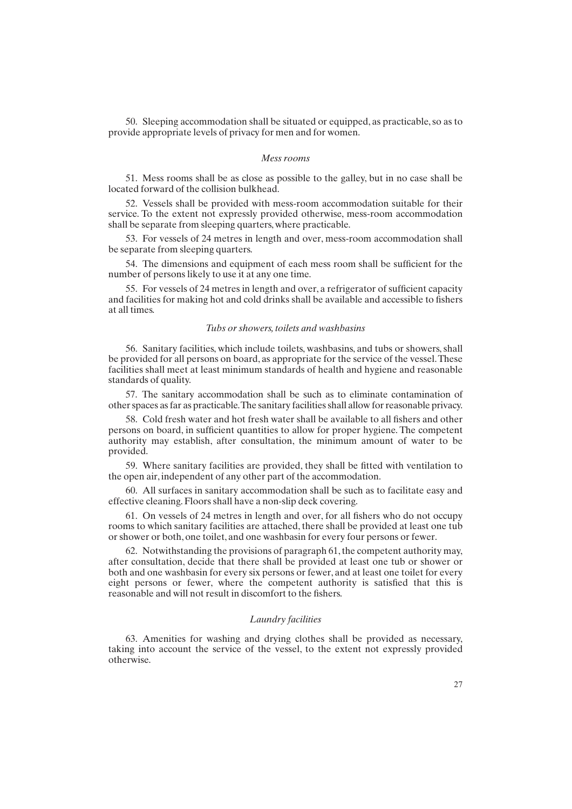50. Sleeping accommodation shall be situated or equipped, as practicable, so as to provide appropriate levels of privacy for men and for women.

#### *Mess rooms*

51. Mess rooms shall be as close as possible to the galley, but in no case shall be located forward of the collision bulkhead.

52. Vessels shall be provided with mess-room accommodation suitable for their service. To the extent not expressly provided otherwise, mess-room accommodation shall be separate from sleeping quarters, where practicable.

53. For vessels of 24 metres in length and over, mess-room accommodation shall be separate from sleeping quarters.

54. The dimensions and equipment of each mess room shall be sufficient for the number of persons likely to use it at any one time.

55. For vessels of 24 metres in length and over, a refrigerator of sufficient capacity and facilities for making hot and cold drinks shall be available and accessible to fishers at all times.

#### *Tubs or showers, toilets and washbasins*

56. Sanitary facilities, which include toilets, washbasins, and tubs or showers, shall be provided for all persons on board, as appropriate for the service of the vessel. These facilities shall meet at least minimum standards of health and hygiene and reasonable standards of quality.

57. The sanitary accommodation shall be such as to eliminate contamination of other spaces as far as practicable. The sanitary facilities shall allow for reasonable privacy.

58. Cold fresh water and hot fresh water shall be available to all fishers and other persons on board, in sufficient quantities to allow for proper hygiene. The competent authority may establish, after consultation, the minimum amount of water to be provided.

59. Where sanitary facilities are provided, they shall be fitted with ventilation to the open air, independent of any other part of the accommodation.

60. All surfaces in sanitary accommodation shall be such as to facilitate easy and effective cleaning. Floors shall have a non-slip deck covering.

61. On vessels of 24 metres in length and over, for all fishers who do not occupy rooms to which sanitary facilities are attached, there shall be provided at least one tub or shower or both, one toilet, and one washbasin for every four persons or fewer.

62. Notwithstanding the provisions of paragraph 61, the competent authority may, after consultation, decide that there shall be provided at least one tub or shower or both and one washbasin for every six persons or fewer, and at least one toilet for every eight persons or fewer, where the competent authority is satisfied that this is reasonable and will not result in discomfort to the fishers.

#### *Laundry facilities*

63. Amenities for washing and drying clothes shall be provided as necessary, taking into account the service of the vessel, to the extent not expressly provided otherwise.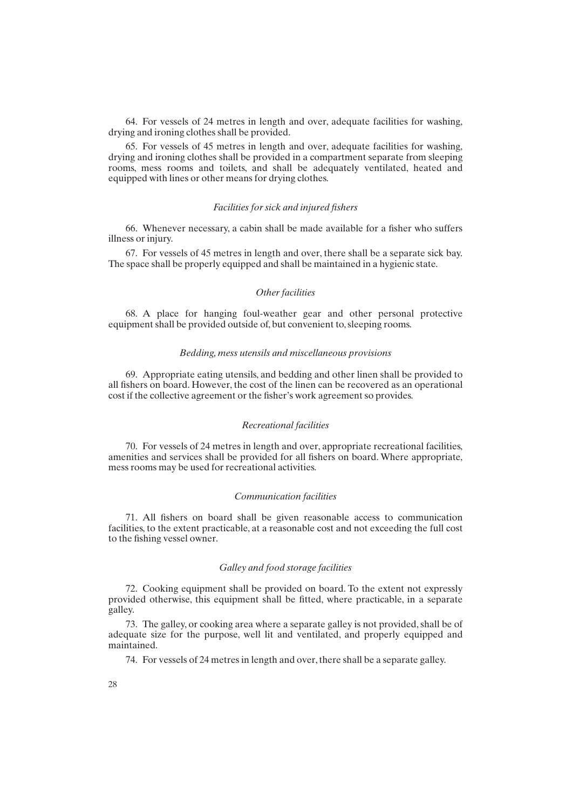64. For vessels of 24 metres in length and over, adequate facilities for washing, drying and ironing clothes shall be provided.

65. For vessels of 45 metres in length and over, adequate facilities for washing, drying and ironing clothes shall be provided in a compartment separate from sleeping rooms, mess rooms and toilets, and shall be adequately ventilated, heated and equipped with lines or other means for drying clothes.

#### *Facilities for sick and injured fishers*

66. Whenever necessary, a cabin shall be made available for a fisher who suffers illness or injury.

67. For vessels of 45 metres in length and over, there shall be a separate sick bay. The space shall be properly equipped and shall be maintained in a hygienic state.

### *Other facilities*

68. A place for hanging foul-weather gear and other personal protective equipment shall be provided outside of, but convenient to, sleeping rooms.

# *Bedding, mess utensils and miscellaneous provisions*

69. Appropriate eating utensils, and bedding and other linen shall be provided to all fishers on board. However, the cost of the linen can be recovered as an operational cost if the collective agreement or the fisher's work agreement so provides.

### *Recreational facilities*

70. For vessels of 24 metres in length and over, appropriate recreational facilities, amenities and services shall be provided for all fishers on board. Where appropriate, mess rooms may be used for recreational activities.

#### *Communication facilities*

71. All fishers on board shall be given reasonable access to communication facilities, to the extent practicable, at a reasonable cost and not exceeding the full cost to the fishing vessel owner.

### *Galley and food storage facilities*

72. Cooking equipment shall be provided on board. To the extent not expressly provided otherwise, this equipment shall be fitted, where practicable, in a separate galley.

73. The galley, or cooking area where a separate galley is not provided, shall be of adequate size for the purpose, well lit and ventilated, and properly equipped and maintained.

74. For vessels of 24 metres in length and over, there shall be a separate galley.